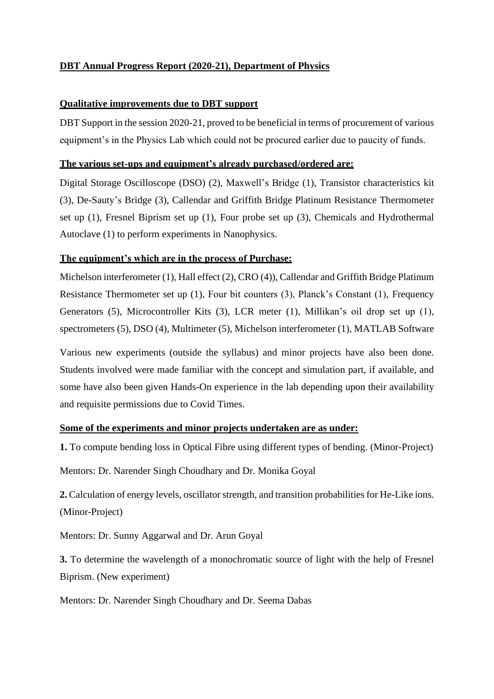# **DBT Annual Progress Report (2020-21), Department of Physics**

# **Qualitative improvements due to DBT support**

DBT Support in the session 2020-21, proved to be beneficial in terms of procurement of various equipment's in the Physics Lab which could not be procured earlier due to paucity of funds.

## **The various set-ups and equipment's already purchased/ordered are:**

Digital Storage Oscilloscope (DSO) (2), Maxwell's Bridge (1), Transistor characteristics kit (3), De-Sauty's Bridge (3), Callendar and Griffith Bridge Platinum Resistance Thermometer set up (1), Fresnel Biprism set up (1), Four probe set up (3), Chemicals and Hydrothermal Autoclave (1) to perform experiments in Nanophysics.

# **The equipment's which are in the process of Purchase:**

Michelson interferometer (1), Hall effect (2), CRO (4)), Callendar and Griffith Bridge Platinum Resistance Thermometer set up (1), Four bit counters (3), Planck's Constant (1), Frequency Generators (5), Microcontroller Kits (3), LCR meter (1), Millikan's oil drop set up (1), spectrometers (5), DSO (4), Multimeter (5), Michelson interferometer (1), MATLAB Software

Various new experiments (outside the syllabus) and minor projects have also been done. Students involved were made familiar with the concept and simulation part, if available, and some have also been given Hands-On experience in the lab depending upon their availability and requisite permissions due to Covid Times.

# **Some of the experiments and minor projects undertaken are as under:**

**1.** To compute bending loss in Optical Fibre using different types of bending. (Minor-Project)

Mentors: Dr. Narender Singh Choudhary and Dr. Monika Goyal

**2.** Calculation of energy levels, oscillator strength, and transition probabilities for He-Like ions. (Minor-Project)

Mentors: Dr. Sunny Aggarwal and Dr. Arun Goyal

**3.** To determine the wavelength of a monochromatic source of light with the help of Fresnel Biprism. (New experiment)

Mentors: Dr. Narender Singh Choudhary and Dr. Seema Dabas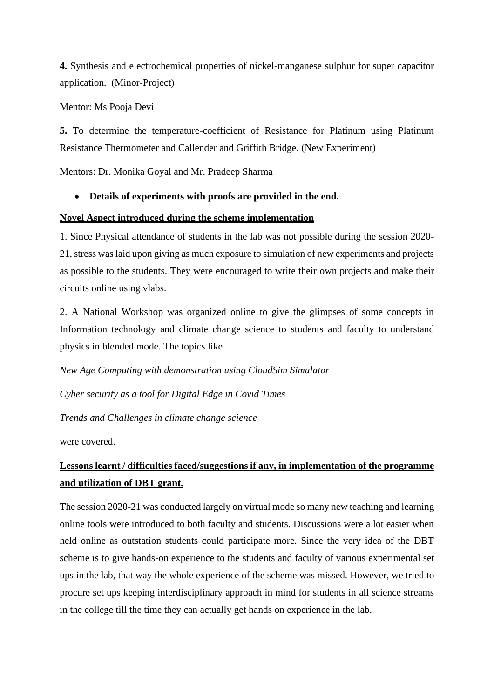**4.** Synthesis and electrochemical properties of nickel-manganese sulphur for super capacitor application. (Minor-Project)

Mentor: Ms Pooja Devi

**5.** To determine the temperature-coefficient of Resistance for Platinum using Platinum Resistance Thermometer and Callender and Griffith Bridge. (New Experiment)

Mentors: Dr. Monika Goyal and Mr. Pradeep Sharma

# • **Details of experiments with proofs are provided in the end.**

### **Novel Aspect introduced during the scheme implementation**

1. Since Physical attendance of students in the lab was not possible during the session 2020- 21, stress was laid upon giving as much exposure to simulation of new experiments and projects as possible to the students. They were encouraged to write their own projects and make their circuits online using vlabs.

2. A National Workshop was organized online to give the glimpses of some concepts in Information technology and climate change science to students and faculty to understand physics in blended mode. The topics like

*New Age Computing with demonstration using CloudSim Simulator*

*Cyber security as a tool for Digital Edge in Covid Times*

*Trends and Challenges in climate change science*

were covered.

# **Lessons learnt / difficulties faced/suggestions if any, in implementation of the programme and utilization of DBT grant.**

The session 2020-21 was conducted largely on virtual mode so many new teaching and learning online tools were introduced to both faculty and students. Discussions were a lot easier when held online as outstation students could participate more. Since the very idea of the DBT scheme is to give hands-on experience to the students and faculty of various experimental set ups in the lab, that way the whole experience of the scheme was missed. However, we tried to procure set ups keeping interdisciplinary approach in mind for students in all science streams in the college till the time they can actually get hands on experience in the lab.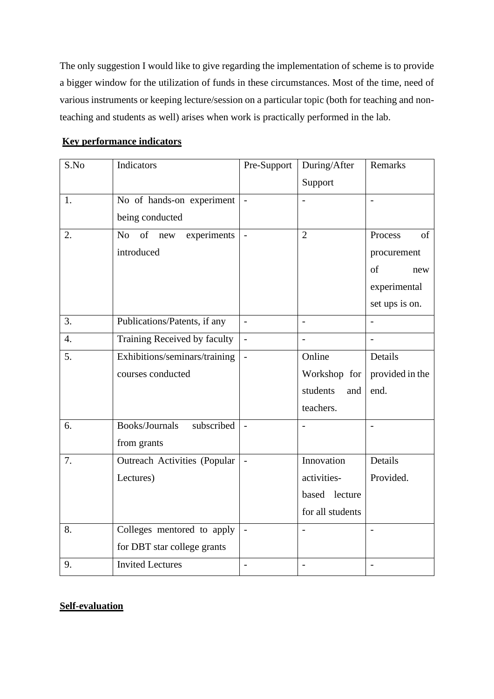The only suggestion I would like to give regarding the implementation of scheme is to provide a bigger window for the utilization of funds in these circumstances. Most of the time, need of various instruments or keeping lecture/session on a particular topic (both for teaching and nonteaching and students as well) arises when work is practically performed in the lab.

| S.No | Indicators                    | Pre-Support              | During/After     | Remarks         |
|------|-------------------------------|--------------------------|------------------|-----------------|
|      |                               |                          | Support          |                 |
| 1.   | No of hands-on experiment     |                          |                  |                 |
|      | being conducted               |                          |                  |                 |
| 2.   | of new<br>No.<br>experiments  | $\overline{a}$           | $\overline{2}$   | Process<br>of   |
|      | introduced                    |                          |                  | procurement     |
|      |                               |                          |                  | of<br>new       |
|      |                               |                          |                  | experimental    |
|      |                               |                          |                  | set ups is on.  |
| 3.   | Publications/Patents, if any  | $\overline{a}$           | $\overline{a}$   | $\overline{a}$  |
| 4.   | Training Received by faculty  | $\overline{a}$           |                  |                 |
| 5.   | Exhibitions/seminars/training |                          | Online           | Details         |
|      | courses conducted             |                          | Workshop for     | provided in the |
|      |                               |                          | students<br>and  | end.            |
|      |                               |                          | teachers.        |                 |
| 6.   | Books/Journals<br>subscribed  | $\overline{\phantom{a}}$ |                  |                 |
|      | from grants                   |                          |                  |                 |
| 7.   | Outreach Activities (Popular  |                          | Innovation       | Details         |
|      | Lectures)                     |                          | activities-      | Provided.       |
|      |                               |                          | based lecture    |                 |
|      |                               |                          | for all students |                 |
| 8.   | Colleges mentored to apply    |                          |                  |                 |
|      | for DBT star college grants   |                          |                  |                 |
| 9.   | <b>Invited Lectures</b>       |                          |                  |                 |

# **Key performance indicators**

# **Self-evaluation**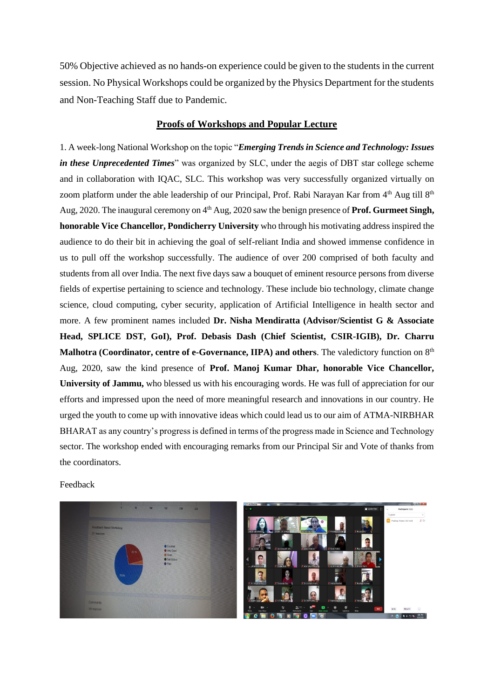50% Objective achieved as no hands-on experience could be given to the students in the current session. No Physical Workshops could be organized by the Physics Department for the students and Non-Teaching Staff due to Pandemic.

#### **Proofs of Workshops and Popular Lecture**

1. A week-long National Workshop on the topic "*Emerging Trends in Science and Technology: Issues in these Unprecedented Times*" was organized by SLC, under the aegis of DBT star college scheme and in collaboration with IQAC, SLC. This workshop was very successfully organized virtually on zoom platform under the able leadership of our Principal, Prof. Rabi Narayan Kar from 4<sup>th</sup> Aug till 8<sup>th</sup> Aug, 2020. The inaugural ceremony on 4<sup>th</sup> Aug, 2020 saw the benign presence of **Prof. Gurmeet Singh, honorable Vice Chancellor, Pondicherry University** who through his motivating address inspired the audience to do their bit in achieving the goal of self-reliant India and showed immense confidence in us to pull off the workshop successfully. The audience of over 200 comprised of both faculty and students from all over India. The next five days saw a bouquet of eminent resource persons from diverse fields of expertise pertaining to science and technology. These include bio technology, climate change science, cloud computing, cyber security, application of Artificial Intelligence in health sector and more. A few prominent names included **Dr. Nisha Mendiratta (Advisor/Scientist G & Associate Head, SPLICE DST, GoI), Prof. Debasis Dash (Chief Scientist, CSIR-IGIB), Dr. Charru**  Malhotra (Coordinator, centre of e-Governance, IIPA) and others. The valedictory function on 8<sup>th</sup> Aug, 2020, saw the kind presence of **Prof. Manoj Kumar Dhar, honorable Vice Chancellor, University of Jammu,** who blessed us with his encouraging words. He was full of appreciation for our efforts and impressed upon the need of more meaningful research and innovations in our country. He urged the youth to come up with innovative ideas which could lead us to our aim of ATMA-NIRBHAR BHARAT as any country's progress is defined in terms of the progress made in Science and Technology sector. The workshop ended with encouraging remarks from our Principal Sir and Vote of thanks from the coordinators.

#### Feedback

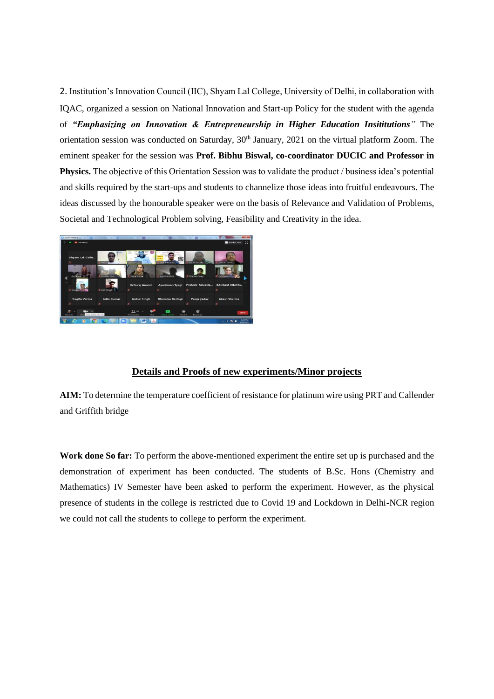2. Institution's Innovation Council (IIC), Shyam Lal College, University of Delhi, in collaboration with IQAC, organized a session on National Innovation and Start-up Policy for the student with the agenda of *"Emphasizing on Innovation & Entrepreneurship in Higher Education Insititutions"* The orientation session was conducted on Saturday, 30<sup>th</sup> January, 2021 on the virtual platform Zoom. The eminent speaker for the session was **Prof. Bibhu Biswal, co-coordinator DUCIC and Professor in Physics.** The objective of this Orientation Session was to validate the product / business idea's potential and skills required by the start-ups and students to channelize those ideas into fruitful endeavours. The ideas discussed by the honourable speaker were on the basis of Relevance and Validation of Problems, Societal and Technological Problem solving, Feasibility and Creativity in the idea.



### **Details and Proofs of new experiments/Minor projects**

**AIM:** To determine the temperature coefficient of resistance for platinum wire using PRT and Callender and Griffith bridge

**Work done So far:** To perform the above-mentioned experiment the entire set up is purchased and the demonstration of experiment has been conducted. The students of B.Sc. Hons (Chemistry and Mathematics) IV Semester have been asked to perform the experiment. However, as the physical presence of students in the college is restricted due to Covid 19 and Lockdown in Delhi-NCR region we could not call the students to college to perform the experiment.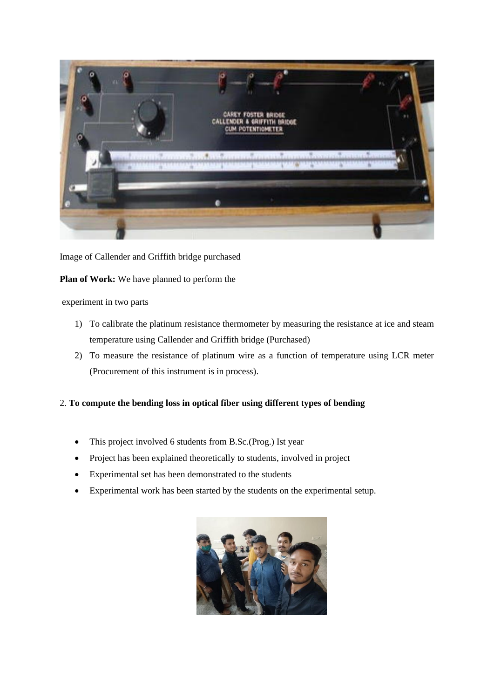

Image of Callender and Griffith bridge purchased

**Plan of Work:** We have planned to perform the

### experiment in two parts

- 1) To calibrate the platinum resistance thermometer by measuring the resistance at ice and steam temperature using Callender and Griffith bridge (Purchased)
- 2) To measure the resistance of platinum wire as a function of temperature using LCR meter (Procurement of this instrument is in process).

### 2. **To compute the bending loss in optical fiber using different types of bending**

- This project involved 6 students from B.Sc.(Prog.) Ist year
- Project has been explained theoretically to students, involved in project
- Experimental set has been demonstrated to the students
- Experimental work has been started by the students on the experimental setup.

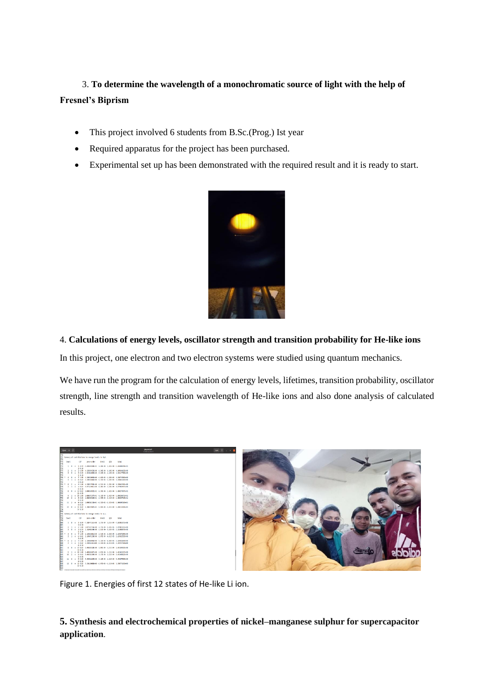# 3. **To determine the wavelength of a monochromatic source of light with the help of Fresnel's Biprism**

- This project involved 6 students from B.Sc.(Prog.) Ist year
- Required apparatus for the project has been purchased.
- Experimental set up has been demonstrated with the required result and it is ready to start.



# 4. **Calculations of energy levels, oscillator strength and transition probability for He-like ions**

In this project, one electron and two electron systems were studied using quantum mechanics.

We have run the program for the calculation of energy levels, lifetimes, transition probability, oscillator strength, line strength and transition wavelength of He-like ions and also done analysis of calculated results.

| $Cen - 7$                                                                                                                                                  | <b>CALCADUT</b><br>«Delettypisco» |  |
|------------------------------------------------------------------------------------------------------------------------------------------------------------|-----------------------------------|--|
| 771 Summary of contributions to energy levels in Ryd.                                                                                                      |                                   |  |
| 773<br>CSF pero-order Breit QCD total<br><b>Large L</b><br>TT4                                                                                             |                                   |  |
| TT5<br>1 0 = 1 0.99 (1.43604386-01 0.346-04 2.436-04 (1.43608536631<br>770<br>$3 - 8 - 10$                                                                 |                                   |  |
| $\overline{112}$<br>2 1 6 2 1.00 4.15939432E-00 -6.34E-04 -1.14E-04 4.1400602E+00<br>778<br>3 0 e 3 6.99 4.12481303E=20 -5.23E-04 -1.11E-04 4.12417758E=30 |                                   |  |
| 779<br>1, 0.10<br>780<br>4 0 = 7 1.00 4.3393280Ev00 -4.43E-04 -1.20E-04 4.33874500Ev00                                                                     |                                   |  |
| 741<br>5 1 = 6 8.42 4.3343466E-16 -5.73E-04 -1.26E-04 4.33165136E-00<br>787<br>$5 - 8 - 58$                                                                |                                   |  |
| $783 -$<br>6 2 = 4 1.00 4.111177916-00 -6.256-04 -1.106-04 4.110611206-00<br>114<br>7 1 8 5 8.82 4.475224011-00 -5.500-04 -1.201-04 4.474454471-00         |                                   |  |
| <b>FBS</b><br>0.0.18<br>786<br>8 0 c 12 0.02 1.00030592E=01 -6.29E-04 -2.42E-04 1.00027367E=01                                                             |                                   |  |
| 787<br>$11 - 8.58$<br>788<br>9 1 # 10 1.00 1.00037237E=01 -6.15E-04 -2.42E-04 1.00020571E=01                                                               |                                   |  |
| 10 2 e 0.6.82 1.0003624E+01 -6.35E-04 -2.41E-04 1.00029764E+01<br>796<br>9, 6, 58                                                                          |                                   |  |
| 791<br>11 2 # 9 8.82 1.090582530-01 -6.320-04 -2.420-04 1.090495310-01<br>792<br>$0 - 0.50$                                                                |                                   |  |
| 793<br>12 0 = 11 0.82 1.10823782E=01 -5.93E-04 -2.41E-04 1.10415431E=01<br>794<br>12.8.58<br>795                                                           |                                   |  |
| 796 Summary of contributions to energy levels in a.u.<br>797                                                                                               |                                   |  |
| 798<br>CSF pero-order Breit QED total<br>lovel                                                                                                             |                                   |  |
| 800<br>1 0 # 1 8.99 -7.18247151E=00 1.176-04 1.21E-04 -7.18203371E=00<br>801<br>$3 - 8 - 10$                                                               |                                   |  |
| 502<br>2 1 e 2 1.00 2.475197148-00 -3.178-04 -5.098-05 2.074823318-00<br>3 0 c 3 0.99 2.102400348-00 -2.018-04 -5.018-05 2.102008716-00                    |                                   |  |
| 503<br>504<br>1, 8, 16<br>865<br>4 0 0 7 1.66 2.10060401E400 -2.31E-04 -6.02E-05 2.10037250E400                                                            |                                   |  |
| 500<br>5 1 0 6 8.82 2.10907233E=00 -2.87E-04 -4.01E-05 2.1093255EE+00<br>5-8.58                                                                            |                                   |  |
| 808<br>509<br>510<br>6 2 8 4 1.00 2.16988998400 -3.126-04 -6.000-05 2.169316640409<br>7 1 8 5 8.82 2.23761241E=00 -3.25E=04 -6.01E-05 2.23722724E=00       |                                   |  |
| 6.8.58<br>811<br>8 0 = 12 0.82 5.40182350E=00 -3.09E-04 -1.21E-04 5.40139931E=00                                                                           |                                   |  |
| 512<br>$11 - 8 - 58$<br>813<br>9 1 c 10 1.00 5.40180187E=00 -1.07E-04 -1.21E-04 5.40140357E=00                                                             |                                   |  |
| 814<br>10 2 0 8 6.62 5.48192638Ev10 -3.176-04 -1.216-04 5.40148822Ev30<br>815<br>9, 8, 58                                                                  |                                   |  |
| 810<br>11 2 8 9 8.02 5.452912050400 -3.500-04 -1.210-04 5.452475900+00<br>$0 - 0.50$                                                                       |                                   |  |
| 518<br>12 0 e 11 0.82 5.131189080-00 -2.970-04 -1.215-04 5.53677101Ee00<br>829<br>826<br>12 8.58                                                           |                                   |  |
|                                                                                                                                                            |                                   |  |

Figure 1. Energies of first 12 states of He-like Li ion.

**5. Synthesis and electrochemical properties of nickel–manganese sulphur for supercapacitor application**.